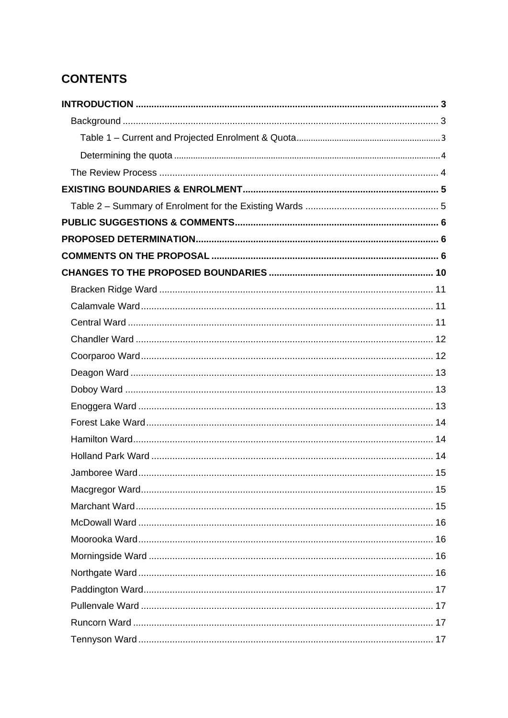# **CONTENTS**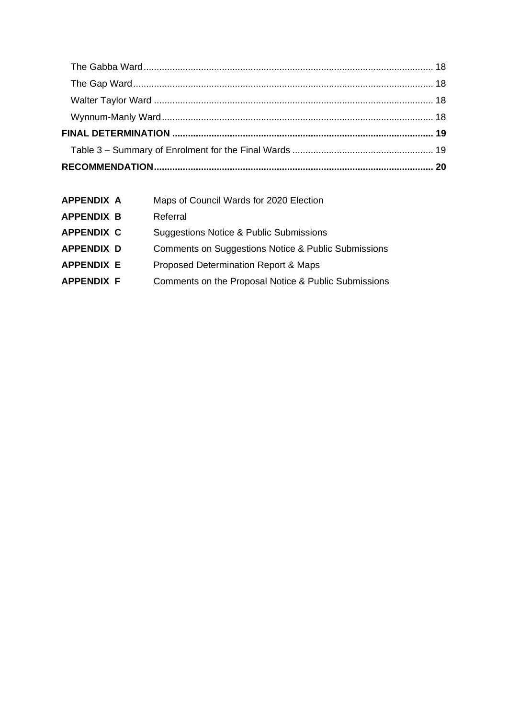| <b>APPENDIX A</b> | Maps of Council Wards for 2020 Election              |
|-------------------|------------------------------------------------------|
| <b>APPENDIX B</b> | Referral                                             |
| <b>APPENDIX C</b> | Suggestions Notice & Public Submissions              |
| <b>APPENDIX D</b> | Comments on Suggestions Notice & Public Submissions  |
| <b>APPENDIX E</b> | Proposed Determination Report & Maps                 |
| <b>APPENDIX F</b> | Comments on the Proposal Notice & Public Submissions |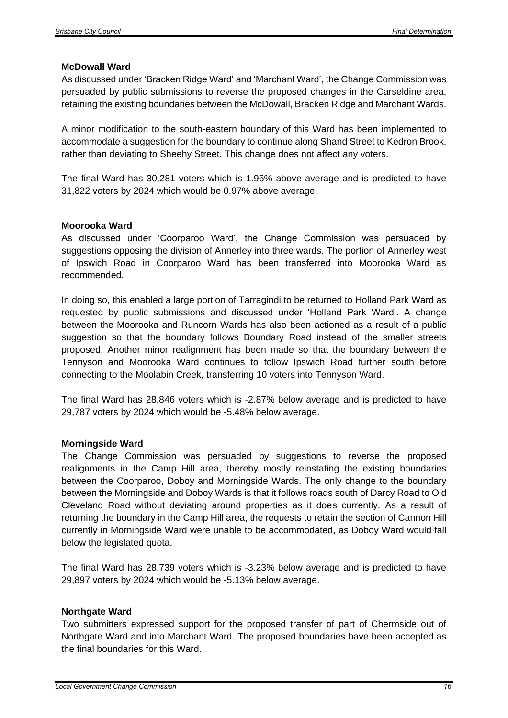#### <span id="page-15-0"></span>**McDowall Ward**

As discussed under 'Bracken Ridge Ward' and 'Marchant Ward', the Change Commission was persuaded by public submissions to reverse the proposed changes in the Carseldine area, retaining the existing boundaries between the McDowall, Bracken Ridge and Marchant Wards.

A minor modification to the south-eastern boundary of this Ward has been implemented to accommodate a suggestion for the boundary to continue along Shand Street to Kedron Brook, rather than deviating to Sheehy Street. This change does not affect any voters.

The final Ward has 30,281 voters which is 1.96% above average and is predicted to have 31,822 voters by 2024 which would be 0.97% above average.

#### <span id="page-15-1"></span>**Moorooka Ward**

As discussed under 'Coorparoo Ward', the Change Commission was persuaded by suggestions opposing the division of Annerley into three wards. The portion of Annerley west of Ipswich Road in Coorparoo Ward has been transferred into Moorooka Ward as recommended.

In doing so, this enabled a large portion of Tarragindi to be returned to Holland Park Ward as requested by public submissions and discussed under 'Holland Park Ward'. A change between the Moorooka and Runcorn Wards has also been actioned as a result of a public suggestion so that the boundary follows Boundary Road instead of the smaller streets proposed. Another minor realignment has been made so that the boundary between the Tennyson and Moorooka Ward continues to follow Ipswich Road further south before connecting to the Moolabin Creek, transferring 10 voters into Tennyson Ward.

The final Ward has 28,846 voters which is -2.87% below average and is predicted to have 29,787 voters by 2024 which would be -5.48% below average.

# <span id="page-15-2"></span>**Morningside Ward**

The Change Commission was persuaded by suggestions to reverse the proposed realignments in the Camp Hill area, thereby mostly reinstating the existing boundaries between the Coorparoo, Doboy and Morningside Wards. The only change to the boundary between the Morningside and Doboy Wards is that it follows roads south of Darcy Road to Old Cleveland Road without deviating around properties as it does currently. As a result of returning the boundary in the Camp Hill area, the requests to retain the section of Cannon Hill currently in Morningside Ward were unable to be accommodated, as Doboy Ward would fall below the legislated quota.

The final Ward has 28,739 voters which is -3.23% below average and is predicted to have 29,897 voters by 2024 which would be -5.13% below average.

# <span id="page-15-3"></span>**Northgate Ward**

Two submitters expressed support for the proposed transfer of part of Chermside out of Northgate Ward and into Marchant Ward. The proposed boundaries have been accepted as the final boundaries for this Ward.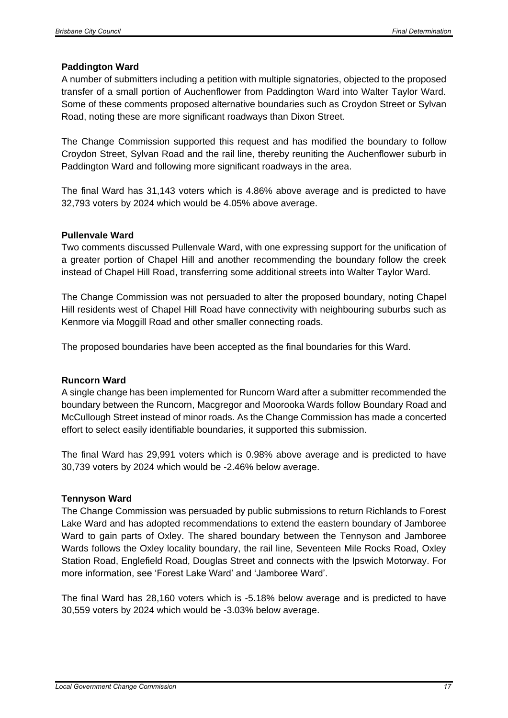#### <span id="page-16-0"></span>**Paddington Ward**

A number of submitters including a petition with multiple signatories, objected to the proposed transfer of a small portion of Auchenflower from Paddington Ward into Walter Taylor Ward. Some of these comments proposed alternative boundaries such as Croydon Street or Sylvan Road, noting these are more significant roadways than Dixon Street.

The Change Commission supported this request and has modified the boundary to follow Croydon Street, Sylvan Road and the rail line, thereby reuniting the Auchenflower suburb in Paddington Ward and following more significant roadways in the area.

The final Ward has 31,143 voters which is 4.86% above average and is predicted to have 32,793 voters by 2024 which would be 4.05% above average.

#### <span id="page-16-1"></span>**Pullenvale Ward**

Two comments discussed Pullenvale Ward, with one expressing support for the unification of a greater portion of Chapel Hill and another recommending the boundary follow the creek instead of Chapel Hill Road, transferring some additional streets into Walter Taylor Ward.

The Change Commission was not persuaded to alter the proposed boundary, noting Chapel Hill residents west of Chapel Hill Road have connectivity with neighbouring suburbs such as Kenmore via Moggill Road and other smaller connecting roads.

The proposed boundaries have been accepted as the final boundaries for this Ward.

#### <span id="page-16-2"></span>**Runcorn Ward**

A single change has been implemented for Runcorn Ward after a submitter recommended the boundary between the Runcorn, Macgregor and Moorooka Wards follow Boundary Road and McCullough Street instead of minor roads. As the Change Commission has made a concerted effort to select easily identifiable boundaries, it supported this submission.

The final Ward has 29,991 voters which is 0.98% above average and is predicted to have 30,739 voters by 2024 which would be -2.46% below average.

#### <span id="page-16-3"></span>**Tennyson Ward**

The Change Commission was persuaded by public submissions to return Richlands to Forest Lake Ward and has adopted recommendations to extend the eastern boundary of Jamboree Ward to gain parts of Oxley. The shared boundary between the Tennyson and Jamboree Wards follows the Oxley locality boundary, the rail line, Seventeen Mile Rocks Road, Oxley Station Road, Englefield Road, Douglas Street and connects with the Ipswich Motorway. For more information, see 'Forest Lake Ward' and 'Jamboree Ward'.

The final Ward has 28,160 voters which is -5.18% below average and is predicted to have 30,559 voters by 2024 which would be -3.03% below average.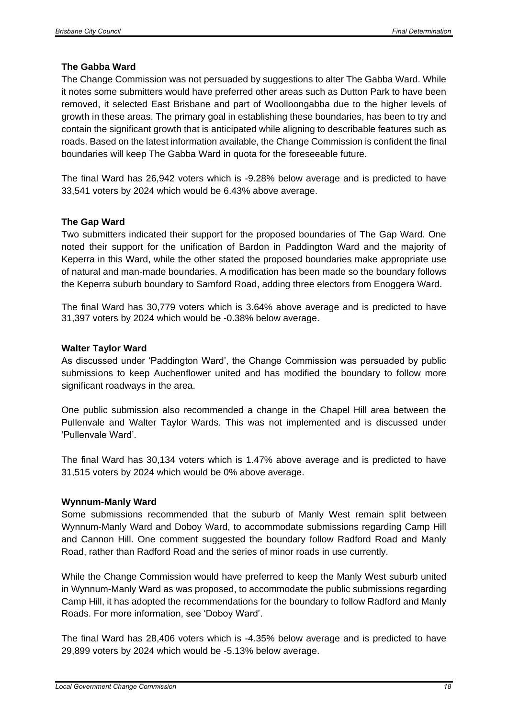### <span id="page-17-0"></span>**The Gabba Ward**

The Change Commission was not persuaded by suggestions to alter The Gabba Ward. While it notes some submitters would have preferred other areas such as Dutton Park to have been removed, it selected East Brisbane and part of Woolloongabba due to the higher levels of growth in these areas. The primary goal in establishing these boundaries, has been to try and contain the significant growth that is anticipated while aligning to describable features such as roads. Based on the latest information available, the Change Commission is confident the final boundaries will keep The Gabba Ward in quota for the foreseeable future.

The final Ward has 26,942 voters which is -9.28% below average and is predicted to have 33,541 voters by 2024 which would be 6.43% above average.

#### <span id="page-17-1"></span>**The Gap Ward**

Two submitters indicated their support for the proposed boundaries of The Gap Ward. One noted their support for the unification of Bardon in Paddington Ward and the majority of Keperra in this Ward, while the other stated the proposed boundaries make appropriate use of natural and man-made boundaries. A modification has been made so the boundary follows the Keperra suburb boundary to Samford Road, adding three electors from Enoggera Ward.

The final Ward has 30,779 voters which is 3.64% above average and is predicted to have 31,397 voters by 2024 which would be -0.38% below average.

#### <span id="page-17-2"></span>**Walter Taylor Ward**

As discussed under 'Paddington Ward', the Change Commission was persuaded by public submissions to keep Auchenflower united and has modified the boundary to follow more significant roadways in the area.

One public submission also recommended a change in the Chapel Hill area between the Pullenvale and Walter Taylor Wards. This was not implemented and is discussed under 'Pullenvale Ward'.

The final Ward has 30,134 voters which is 1.47% above average and is predicted to have 31,515 voters by 2024 which would be 0% above average.

# <span id="page-17-3"></span>**Wynnum-Manly Ward**

Some submissions recommended that the suburb of Manly West remain split between Wynnum-Manly Ward and Doboy Ward, to accommodate submissions regarding Camp Hill and Cannon Hill. One comment suggested the boundary follow Radford Road and Manly Road, rather than Radford Road and the series of minor roads in use currently.

While the Change Commission would have preferred to keep the Manly West suburb united in Wynnum-Manly Ward as was proposed, to accommodate the public submissions regarding Camp Hill, it has adopted the recommendations for the boundary to follow Radford and Manly Roads. For more information, see 'Doboy Ward'.

The final Ward has 28,406 voters which is -4.35% below average and is predicted to have 29,899 voters by 2024 which would be -5.13% below average.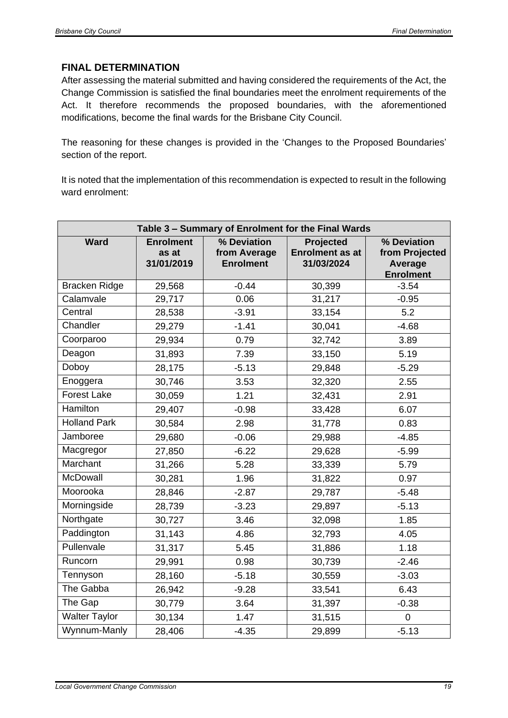# <span id="page-18-0"></span>**FINAL DETERMINATION**

After assessing the material submitted and having considered the requirements of the Act, the Change Commission is satisfied the final boundaries meet the enrolment requirements of the Act. It therefore recommends the proposed boundaries, with the aforementioned modifications, become the final wards for the Brisbane City Council.

The reasoning for these changes is provided in the 'Changes to the Proposed Boundaries' section of the report.

It is noted that the implementation of this recommendation is expected to result in the following ward enrolment:

<span id="page-18-1"></span>

| Table 3 - Summary of Enrolment for the Final Wards |                                         |                                                 |                                                          |                                                                     |  |
|----------------------------------------------------|-----------------------------------------|-------------------------------------------------|----------------------------------------------------------|---------------------------------------------------------------------|--|
| <b>Ward</b>                                        | <b>Enrolment</b><br>as at<br>31/01/2019 | % Deviation<br>from Average<br><b>Enrolment</b> | <b>Projected</b><br><b>Enrolment as at</b><br>31/03/2024 | % Deviation<br>from Projected<br><b>Average</b><br><b>Enrolment</b> |  |
| <b>Bracken Ridge</b>                               | 29,568                                  | $-0.44$                                         | 30,399                                                   | $-3.54$                                                             |  |
| Calamvale                                          | 29,717                                  | 0.06                                            | 31,217                                                   | $-0.95$                                                             |  |
| Central                                            | 28,538                                  | $-3.91$                                         | 33,154                                                   | 5.2                                                                 |  |
| Chandler                                           | 29,279                                  | $-1.41$                                         | 30,041                                                   | $-4.68$                                                             |  |
| Coorparoo                                          | 29,934                                  | 0.79                                            | 32,742                                                   | 3.89                                                                |  |
| Deagon                                             | 31,893                                  | 7.39                                            | 33,150                                                   | 5.19                                                                |  |
| Doboy                                              | 28,175                                  | $-5.13$                                         | 29,848                                                   | $-5.29$                                                             |  |
| Enoggera                                           | 30,746                                  | 3.53                                            | 32,320                                                   | 2.55                                                                |  |
| <b>Forest Lake</b>                                 | 30,059                                  | 1.21                                            | 32,431                                                   | 2.91                                                                |  |
| Hamilton                                           | 29,407                                  | $-0.98$                                         | 33,428                                                   | 6.07                                                                |  |
| <b>Holland Park</b>                                | 30,584                                  | 2.98                                            | 31,778                                                   | 0.83                                                                |  |
| Jamboree                                           | 29,680                                  | $-0.06$                                         | 29,988                                                   | $-4.85$                                                             |  |
| Macgregor                                          | 27,850                                  | $-6.22$                                         | 29,628                                                   | $-5.99$                                                             |  |
| Marchant                                           | 31,266                                  | 5.28                                            | 33,339                                                   | 5.79                                                                |  |
| McDowall                                           | 30,281                                  | 1.96                                            | 31,822                                                   | 0.97                                                                |  |
| Moorooka                                           | 28,846                                  | $-2.87$                                         | 29,787                                                   | $-5.48$                                                             |  |
| Morningside                                        | 28,739                                  | $-3.23$                                         | 29,897                                                   | $-5.13$                                                             |  |
| Northgate                                          | 30,727                                  | 3.46                                            | 32,098                                                   | 1.85                                                                |  |
| Paddington                                         | 31,143                                  | 4.86                                            | 32,793                                                   | 4.05                                                                |  |
| Pullenvale                                         | 31,317                                  | 5.45                                            | 31,886                                                   | 1.18                                                                |  |
| Runcorn                                            | 29,991                                  | 0.98                                            | 30,739                                                   | $-2.46$                                                             |  |
| Tennyson                                           | 28,160                                  | $-5.18$                                         | 30,559                                                   | $-3.03$                                                             |  |
| The Gabba                                          | 26,942                                  | $-9.28$                                         | 33,541                                                   | 6.43                                                                |  |
| The Gap                                            | 30,779                                  | 3.64                                            | 31,397                                                   | $-0.38$                                                             |  |
| <b>Walter Taylor</b>                               | 30,134                                  | 1.47                                            | 31,515                                                   | $\mathbf 0$                                                         |  |
| Wynnum-Manly                                       | 28,406                                  | $-4.35$                                         | 29,899                                                   | $-5.13$                                                             |  |